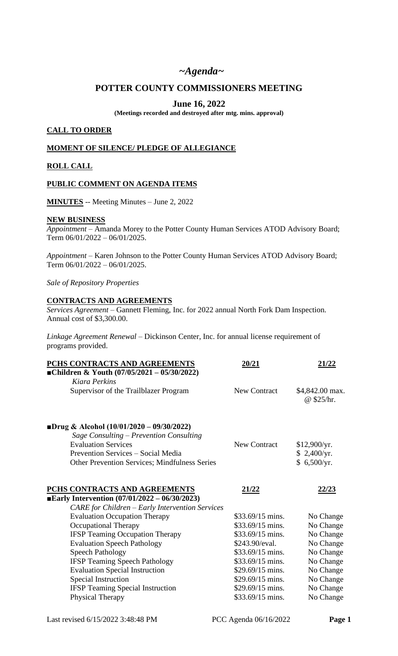# *~Agenda~*

# **POTTER COUNTY COMMISSIONERS MEETING**

# **June 16, 2022**

**(Meetings recorded and destroyed after mtg. mins. approval)**

#### **CALL TO ORDER**

#### **MOMENT OF SILENCE/ PLEDGE OF ALLEGIANCE**

### **ROLL CALL**

#### **PUBLIC COMMENT ON AGENDA ITEMS**

**MINUTES** -- Meeting Minutes – June 2, 2022

#### **NEW BUSINESS**

*Appointment* – Amanda Morey to the Potter County Human Services ATOD Advisory Board; Term 06/01/2022 – 06/01/2025.

*Appointment* – Karen Johnson to the Potter County Human Services ATOD Advisory Board; Term 06/01/2022 – 06/01/2025.

*Sale of Repository Properties*

#### **CONTRACTS AND AGREEMENTS**

*Services Agreement –* Gannett Fleming, Inc. for 2022 annual North Fork Dam Inspection. Annual cost of \$3,300.00.

*Linkage Agreement Renewal* – Dickinson Center, Inc. for annual license requirement of programs provided.

| PCHS CONTRACTS AND AGREEMENTS                                         | 20/21               | 21/22                         |
|-----------------------------------------------------------------------|---------------------|-------------------------------|
| ■Children & Youth $(07/05/2021 - 05/30/2022)$                         |                     |                               |
| Kiara Perkins                                                         |                     |                               |
| Supervisor of the Trailblazer Program                                 | <b>New Contract</b> | \$4,842.00 max.<br>@ \$25/hr. |
| <b>Drug &amp; Alcohol</b> $(10/01/2020 - 09/30/2022)$                 |                     |                               |
| Sage Consulting – Prevention Consulting<br><b>Evaluation Services</b> | <b>New Contract</b> | \$12,900/yr.                  |
| Prevention Services – Social Media                                    |                     | \$2,400/yr.                   |
| <b>Other Prevention Services; Mindfulness Series</b>                  |                     | \$6,500/yr.                   |
| PCHS CONTRACTS AND AGREEMENTS                                         | 21/22               | <u>22/23</u>                  |
| <b>Early Intervention</b> $(07/01/2022 - 06/30/2023)$                 |                     |                               |
| <b>CARE</b> for Children – Early Intervention Services                |                     |                               |
| <b>Evaluation Occupation Therapy</b>                                  | \$33.69/15 mins.    | No Change                     |
| <b>Occupational Therapy</b>                                           | \$33.69/15 mins.    | No Change                     |
| <b>IFSP Teaming Occupation Therapy</b>                                | $$33.69/15$ mins.   | No Change                     |
| <b>Evaluation Speech Pathology</b>                                    | \$243.90/eval.      | No Change                     |
| <b>Speech Pathology</b>                                               | \$33.69/15 mins.    | No Change                     |
| <b>IFSP Teaming Speech Pathology</b>                                  | \$33.69/15 mins.    | No Change                     |
| <b>Evaluation Special Instruction</b>                                 | \$29.69/15 mins.    | No Change                     |
| Special Instruction                                                   | \$29.69/15 mins.    | No Change                     |
| <b>IFSP</b> Teaming Special Instruction                               | \$29.69/15 mins.    | No Change                     |
| Physical Therapy                                                      | \$33.69/15 mins.    | No Change                     |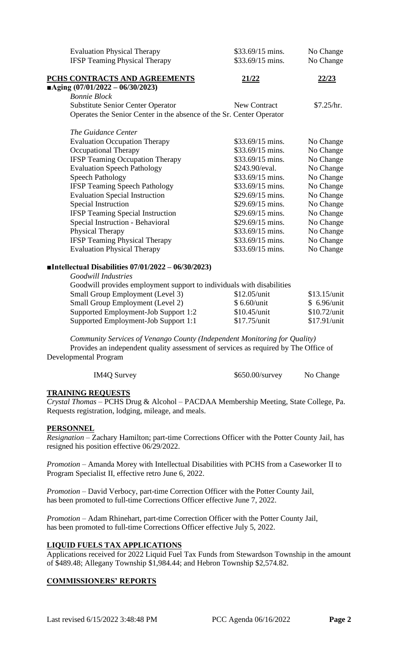| <b>Evaluation Physical Therapy</b>                                   | $$33.69/15$ mins.   | No Change    |
|----------------------------------------------------------------------|---------------------|--------------|
| <b>IFSP</b> Teaming Physical Therapy                                 | \$33.69/15 mins.    | No Change    |
| PCHS CONTRACTS AND AGREEMENTS                                        | <u>21/22</u>        | <u>22/23</u> |
| $\blacksquare$ Aging (07/01/2022 - 06/30/2023)                       |                     |              |
| <b>Bonnie Block</b>                                                  |                     |              |
| <b>Substitute Senior Center Operator</b>                             | <b>New Contract</b> | \$7.25/hr.   |
| Operates the Senior Center in the absence of the Sr. Center Operator |                     |              |
| The Guidance Center                                                  |                     |              |
| <b>Evaluation Occupation Therapy</b>                                 | $$33.69/15$ mins.   | No Change    |
| Occupational Therapy                                                 | \$33.69/15 mins.    | No Change    |
| <b>IFSP Teaming Occupation Therapy</b>                               | $$33.69/15$ mins.   | No Change    |
| <b>Evaluation Speech Pathology</b>                                   | \$243.90/eval.      | No Change    |
| <b>Speech Pathology</b>                                              | $$33.69/15$ mins.   | No Change    |
| <b>IFSP Teaming Speech Pathology</b>                                 | $$33.69/15$ mins.   | No Change    |
| <b>Evaluation Special Instruction</b>                                | $$29.69/15$ mins.   | No Change    |
| Special Instruction                                                  | \$29.69/15 mins.    | No Change    |
| <b>IFSP Teaming Special Instruction</b>                              | $$29.69/15$ mins.   | No Change    |
| Special Instruction - Behavioral                                     | $$29.69/15$ mins.   | No Change    |
| <b>Physical Therapy</b>                                              | \$33.69/15 mins.    | No Change    |
| <b>IFSP Teaming Physical Therapy</b>                                 | \$33.69/15 mins.    | No Change    |
| <b>Evaluation Physical Therapy</b>                                   | \$33.69/15 mins.    | No Change    |
|                                                                      |                     |              |
| ■Intellectual Disabilities $07/01/2022 - 06/30/2023$                 |                     |              |

*Goodwill Industries*

| Goodwill provides employment support to individuals with disabilities |                |                |
|-----------------------------------------------------------------------|----------------|----------------|
| Small Group Employment (Level 3)                                      | \$12.05/unit   | $$13.15$ /unit |
| <b>Small Group Employment (Level 2)</b>                               | \$6.60/unit    | \$6.96/unit    |
| Supported Employment-Job Support 1:2                                  | $$10.45/$ unit | $$10.72$ /unit |
| Supported Employment-Job Support 1:1                                  | $$17.75/$ unit | \$17.91/unit   |
|                                                                       |                |                |

*Community Services of Venango County (Independent Monitoring for Quality)* Provides an independent quality assessment of services as required by The Office of Developmental Program

| IM4Q Survey | $$650.00$ /survey | No Change |
|-------------|-------------------|-----------|
|             |                   |           |

# **TRAINING REQUESTS**

*Crystal Thomas* – PCHS Drug & Alcohol – PACDAA Membership Meeting, State College, Pa. Requests registration, lodging, mileage, and meals.

### **PERSONNEL**

*Resignation* – Zachary Hamilton; part-time Corrections Officer with the Potter County Jail, has resigned his position effective 06/29/2022.

*Promotion* – Amanda Morey with Intellectual Disabilities with PCHS from a Caseworker II to Program Specialist II, effective retro June 6, 2022.

*Promotion –* David Verbocy, part-time Correction Officer with the Potter County Jail, has been promoted to full-time Corrections Officer effective June 7, 2022.

*Promotion –* Adam Rhinehart, part-time Correction Officer with the Potter County Jail, has been promoted to full-time Corrections Officer effective July 5, 2022.

### **LIQUID FUELS TAX APPLICATIONS**

Applications received for 2022 Liquid Fuel Tax Funds from Stewardson Township in the amount of \$489.48; Allegany Township \$1,984.44; and Hebron Township \$2,574.82.

### **COMMISSIONERS' REPORTS**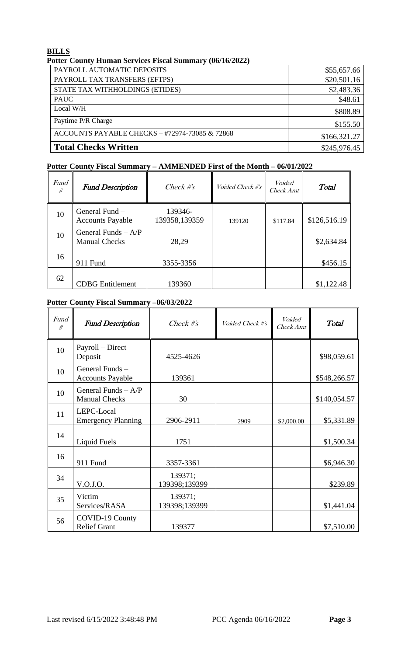### **BILLS**

| $\mathbf{u}$ olici county fruman bet vices fused bunning $\mathbf{v}$ (bo/fo/2022) |              |
|------------------------------------------------------------------------------------|--------------|
| PAYROLL AUTOMATIC DEPOSITS                                                         | \$55,657.66  |
| PAYROLL TAX TRANSFERS (EFTPS)                                                      | \$20,501.16  |
| STATE TAX WITHHOLDINGS (ETIDES)                                                    | \$2,483.36   |
| <b>PAUC</b>                                                                        | \$48.61      |
| Local W/H                                                                          | \$808.89     |
| Paytime P/R Charge                                                                 | \$155.50     |
| ACCOUNTS PAYABLE CHECKS - #72974-73085 & 72868                                     | \$166,321.27 |
| <b>Total Checks Written</b>                                                        | \$245,976.45 |

### **Potter County Human Services Fiscal Summary (06/16/2022)**

### **Potter County Fiscal Summary – AMMENDED First of the Month – 06/01/2022**

| <b>Fund</b><br># | <b>Fund Description</b>                       | Check $#s$               | Voided Check #'s | <i>Voided</i><br>Check Amt | <b>Total</b> |
|------------------|-----------------------------------------------|--------------------------|------------------|----------------------------|--------------|
| 10               | General Fund –<br><b>Accounts Payable</b>     | 139346-<br>139358,139359 | 139120           | \$117.84                   | \$126,516.19 |
| 10               | General Funds $- A/P$<br><b>Manual Checks</b> | 28,29                    |                  |                            | \$2,634.84   |
| 16               | 911 Fund                                      | 3355-3356                |                  |                            | \$456.15     |
| 62               | <b>CDBG</b> Entitlement                       | 139360                   |                  |                            | \$1,122.48   |

# **Potter County Fiscal Summary –06/03/2022**

| <b>Fund</b><br># | <b>Fund Description</b>                       | Check $#s$               | Voided Check #'s | <b>Voided</b><br><b>Check Amt</b> | Total        |
|------------------|-----------------------------------------------|--------------------------|------------------|-----------------------------------|--------------|
| 10               | Payroll – Direct<br>Deposit                   | 4525-4626                |                  |                                   | \$98,059.61  |
| 10               | General Funds -<br><b>Accounts Payable</b>    | 139361                   |                  |                                   | \$548,266.57 |
| 10               | General Funds $- A/P$<br><b>Manual Checks</b> | 30                       |                  |                                   | \$140,054.57 |
| 11               | LEPC-Local<br><b>Emergency Planning</b>       | 2906-2911                | 2909             | \$2,000.00                        | \$5,331.89   |
| 14               | <b>Liquid Fuels</b>                           | 1751                     |                  |                                   | \$1,500.34   |
| 16               | 911 Fund                                      | 3357-3361                |                  |                                   | \$6,946.30   |
| 34               | V.O.J.O.                                      | 139371;<br>139398;139399 |                  |                                   | \$239.89     |
| 35               | Victim<br>Services/RASA                       | 139371;<br>139398;139399 |                  |                                   | \$1,441.04   |
| 56               | COVID-19 County<br><b>Relief Grant</b>        | 139377                   |                  |                                   | \$7,510.00   |